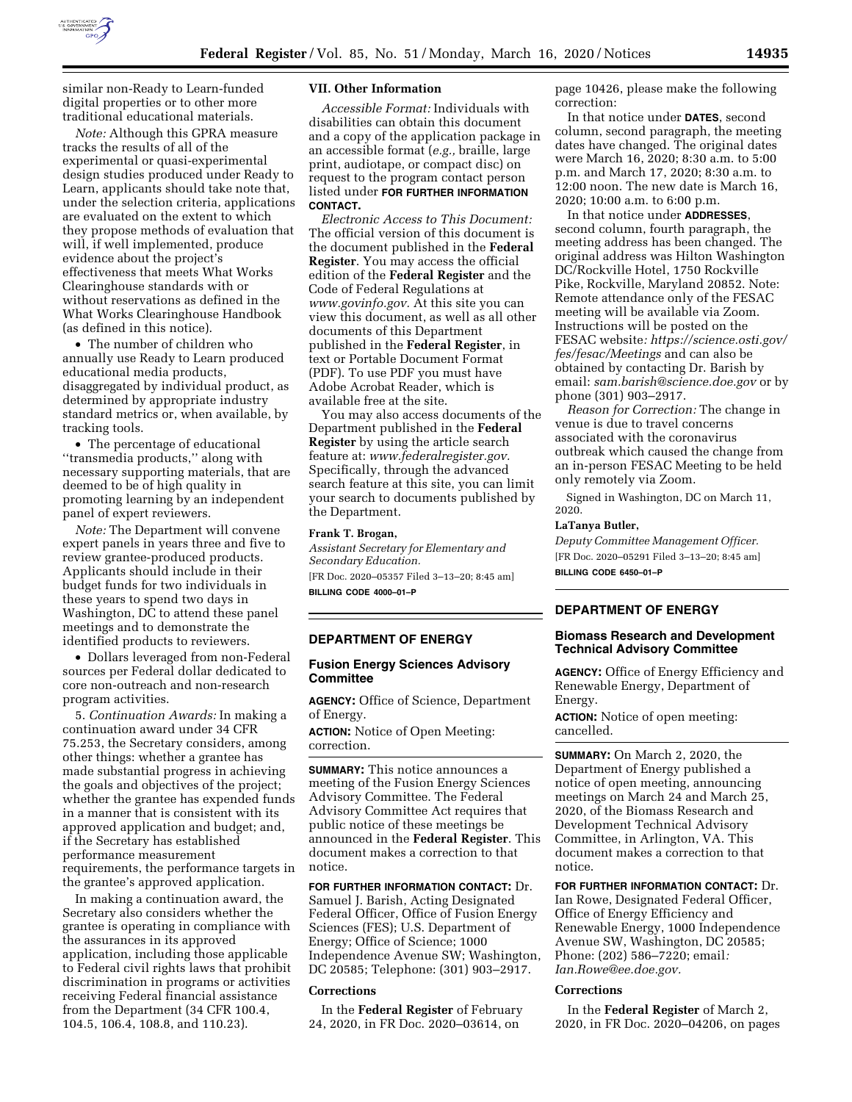

similar non-Ready to Learn-funded digital properties or to other more traditional educational materials.

*Note:* Although this GPRA measure tracks the results of all of the experimental or quasi-experimental design studies produced under Ready to Learn, applicants should take note that, under the selection criteria, applications are evaluated on the extent to which they propose methods of evaluation that will, if well implemented, produce evidence about the project's effectiveness that meets What Works Clearinghouse standards with or without reservations as defined in the What Works Clearinghouse Handbook (as defined in this notice).

• The number of children who annually use Ready to Learn produced educational media products, disaggregated by individual product, as determined by appropriate industry standard metrics or, when available, by tracking tools.

• The percentage of educational ''transmedia products,'' along with necessary supporting materials, that are deemed to be of high quality in promoting learning by an independent panel of expert reviewers.

*Note:* The Department will convene expert panels in years three and five to review grantee-produced products. Applicants should include in their budget funds for two individuals in these years to spend two days in Washington, DC to attend these panel meetings and to demonstrate the identified products to reviewers.

• Dollars leveraged from non-Federal sources per Federal dollar dedicated to core non-outreach and non-research program activities.

5. *Continuation Awards:* In making a continuation award under 34 CFR 75.253, the Secretary considers, among other things: whether a grantee has made substantial progress in achieving the goals and objectives of the project; whether the grantee has expended funds in a manner that is consistent with its approved application and budget; and, if the Secretary has established performance measurement requirements, the performance targets in the grantee's approved application.

In making a continuation award, the Secretary also considers whether the grantee is operating in compliance with the assurances in its approved application, including those applicable to Federal civil rights laws that prohibit discrimination in programs or activities receiving Federal financial assistance from the Department (34 CFR 100.4, 104.5, 106.4, 108.8, and 110.23).

#### **VII. Other Information**

*Accessible Format:* Individuals with disabilities can obtain this document and a copy of the application package in an accessible format (*e.g.,* braille, large print, audiotape, or compact disc) on request to the program contact person listed under **FOR FURTHER INFORMATION CONTACT.** 

*Electronic Access to This Document:*  The official version of this document is the document published in the **Federal Register**. You may access the official edition of the **Federal Register** and the Code of Federal Regulations at *[www.govinfo.gov.](http://www.govinfo.gov)* At this site you can view this document, as well as all other documents of this Department published in the **Federal Register**, in text or Portable Document Format (PDF). To use PDF you must have Adobe Acrobat Reader, which is available free at the site.

You may also access documents of the Department published in the **Federal Register** by using the article search feature at: *[www.federalregister.gov.](http://www.federalregister.gov)*  Specifically, through the advanced search feature at this site, you can limit your search to documents published by the Department.

### **Frank T. Brogan,**

*Assistant Secretary for Elementary and Secondary Education.*  [FR Doc. 2020–05357 Filed 3–13–20; 8:45 am]

**BILLING CODE 4000–01–P** 

### **DEPARTMENT OF ENERGY**

## **Fusion Energy Sciences Advisory Committee**

**AGENCY:** Office of Science, Department of Energy.

**ACTION:** Notice of Open Meeting: correction.

**SUMMARY:** This notice announces a meeting of the Fusion Energy Sciences Advisory Committee. The Federal Advisory Committee Act requires that public notice of these meetings be announced in the **Federal Register**. This document makes a correction to that notice.

**FOR FURTHER INFORMATION CONTACT:** Dr. Samuel J. Barish, Acting Designated Federal Officer, Office of Fusion Energy Sciences (FES); U.S. Department of Energy; Office of Science; 1000 Independence Avenue SW; Washington, DC 20585; Telephone: (301) 903–2917.

#### **Corrections**

In the **Federal Register** of February 24, 2020, in FR Doc. 2020–03614, on

page 10426, please make the following correction:

In that notice under **DATES**, second column, second paragraph, the meeting dates have changed. The original dates were March 16, 2020; 8:30 a.m. to 5:00 p.m. and March 17, 2020; 8:30 a.m. to 12:00 noon. The new date is March 16, 2020; 10:00 a.m. to 6:00 p.m.

In that notice under **ADDRESSES**, second column, fourth paragraph, the meeting address has been changed. The original address was Hilton Washington DC/Rockville Hotel, 1750 Rockville Pike, Rockville, Maryland 20852. Note: Remote attendance only of the FESAC meeting will be available via Zoom. Instructions will be posted on the FESAC website*: [https://science.osti.gov/](https://science.osti.gov/fes/fesac/Meetings)  [fes/fesac/Meetings](https://science.osti.gov/fes/fesac/Meetings)* and can also be obtained by contacting Dr. Barish by email: *[sam.barish@science.doe.gov](mailto:sam.barish@science.doe.gov)* or by phone (301) 903–2917.

*Reason for Correction:* The change in venue is due to travel concerns associated with the coronavirus outbreak which caused the change from an in-person FESAC Meeting to be held only remotely via Zoom.

Signed in Washington, DC on March 11, 2020.

#### **LaTanya Butler,**

*Deputy Committee Management Officer.*  [FR Doc. 2020–05291 Filed 3–13–20; 8:45 am] **BILLING CODE 6450–01–P** 

# **DEPARTMENT OF ENERGY**

### **Biomass Research and Development Technical Advisory Committee**

**AGENCY:** Office of Energy Efficiency and Renewable Energy, Department of Energy.

**ACTION:** Notice of open meeting: cancelled.

**SUMMARY:** On March 2, 2020, the Department of Energy published a notice of open meeting, announcing meetings on March 24 and March 25, 2020, of the Biomass Research and Development Technical Advisory Committee, in Arlington, VA. This document makes a correction to that notice.

**FOR FURTHER INFORMATION CONTACT:** Dr. Ian Rowe, Designated Federal Officer, Office of Energy Efficiency and Renewable Energy, 1000 Independence Avenue SW, Washington, DC 20585; Phone: (202) 586–7220; email*: [Ian.Rowe@ee.doe.gov.](mailto:Ian.Rowe@ee.doe.gov)* 

#### **Corrections**

In the **Federal Register** of March 2, 2020, in FR Doc. 2020–04206, on pages